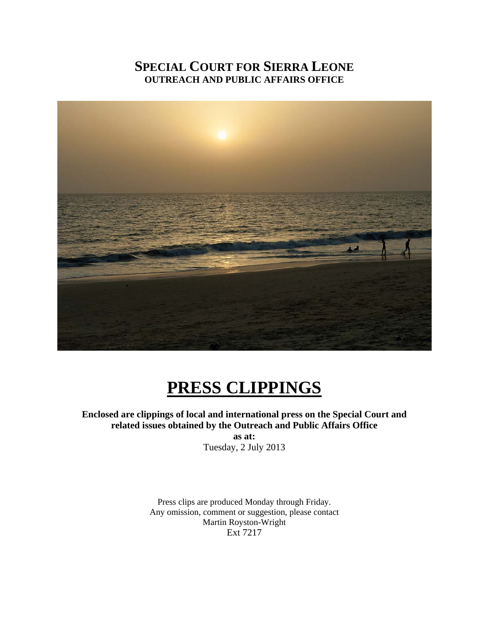# **SPECIAL COURT FOR SIERRA LEONE OUTREACH AND PUBLIC AFFAIRS OFFICE**



# **PRESS CLIPPINGS**

**Enclosed are clippings of local and international press on the Special Court and related issues obtained by the Outreach and Public Affairs Office** 

**as at:**  Tuesday, 2 July 2013

Press clips are produced Monday through Friday. Any omission, comment or suggestion, please contact Martin Royston-Wright Ext 7217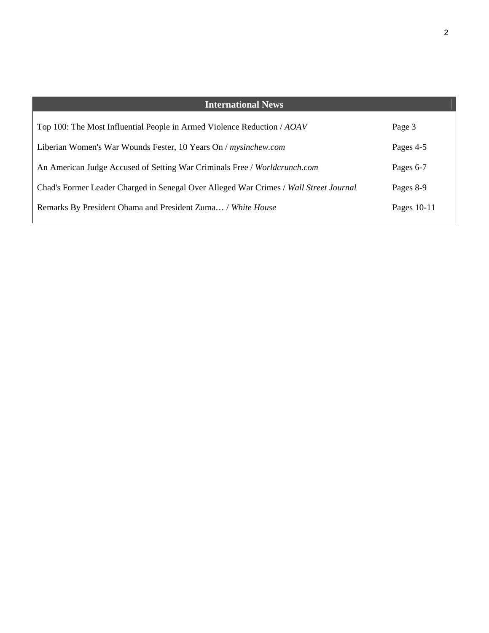| <b>International News</b>                                                             |             |
|---------------------------------------------------------------------------------------|-------------|
| Top 100: The Most Influential People in Armed Violence Reduction / AOAV               | Page 3      |
| Liberian Women's War Wounds Fester, 10 Years On / mysinchew.com                       | Pages 4-5   |
| An American Judge Accused of Setting War Criminals Free / Worldcrunch.com             | Pages 6-7   |
| Chad's Former Leader Charged in Senegal Over Alleged War Crimes / Wall Street Journal | Pages 8-9   |
| Remarks By President Obama and President Zuma / White House                           | Pages 10-11 |
|                                                                                       |             |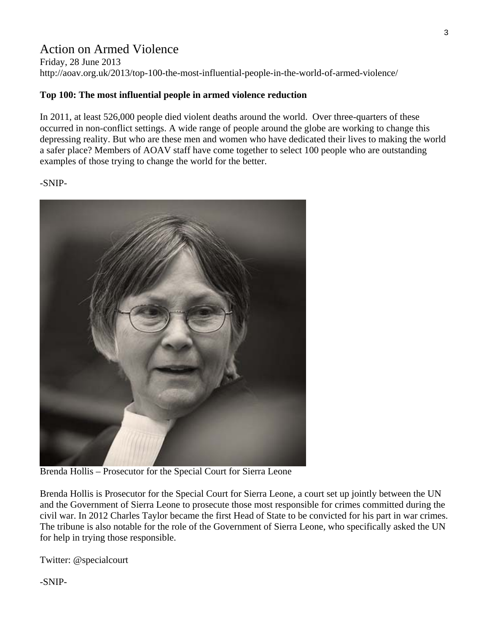# Action on Armed Violence

Friday, 28 June 2013 http://aoav.org.uk/2013/top-100-the-most-influential-people-in-the-world-of-armed-violence/

#### **Top 100: The most influential people in armed violence reduction**

In 2011, at least 526,000 people died violent deaths around the world. Over three-quarters of these occurred in non-conflict settings. A wide range of people around the globe are working to change this depressing reality. But who are these men and women who have dedicated their lives to making the world a safer place? Members of AOAV staff have come together to select 100 people who are outstanding examples of those trying to change the world for the better.

-SNIP-



Brenda Hollis – Prosecutor for the Special Court for Sierra Leone

Brenda Hollis is Prosecutor for the Special Court for Sierra Leone, a court set up jointly between the UN and the Government of Sierra Leone to prosecute those most responsible for crimes committed during the civil war. In 2012 Charles Taylor became the first Head of State to be convicted for his part in war crimes. The tribune is also notable for the role of the Government of Sierra Leone, who specifically asked the UN for help in trying those responsible.

Twitter: @specialcourt

-SNIP-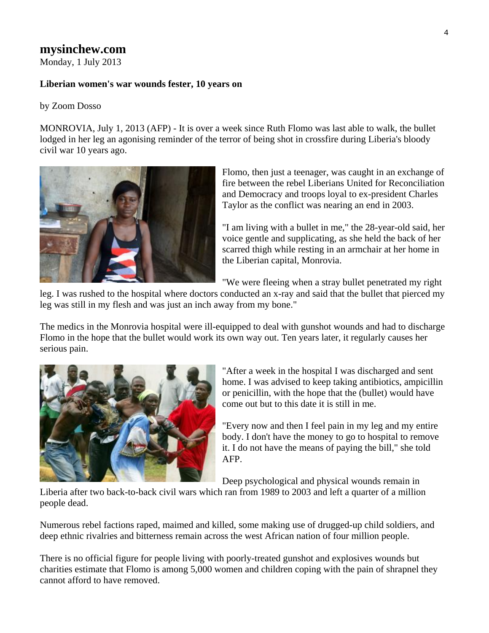## **mysinchew.com**

Monday, 1 July 2013

#### **Liberian women's war wounds fester, 10 years on**

#### by Zoom Dosso

MONROVIA, July 1, 2013 (AFP) - It is over a week since Ruth Flomo was last able to walk, the bullet lodged in her leg an agonising reminder of the terror of being shot in crossfire during Liberia's bloody civil war 10 years ago.



Flomo, then just a teenager, was caught in an exchange of fire between the rebel Liberians United for Reconciliation and Democracy and troops loyal to ex-president Charles Taylor as the conflict was nearing an end in 2003.

"I am living with a bullet in me," the 28-year-old said, her voice gentle and supplicating, as she held the back of her scarred thigh while resting in an armchair at her home in the Liberian capital, Monrovia.

"We were fleeing when a stray bullet penetrated my right

leg. I was rushed to the hospital where doctors conducted an x-ray and said that the bullet that pierced my leg was still in my flesh and was just an inch away from my bone."

The medics in the Monrovia hospital were ill-equipped to deal with gunshot wounds and had to discharge Flomo in the hope that the bullet would work its own way out. Ten years later, it regularly causes her serious pain.



"After a week in the hospital I was discharged and sent home. I was advised to keep taking antibiotics, ampicillin or penicillin, with the hope that the (bullet) would have come out but to this date it is still in me.

"Every now and then I feel pain in my leg and my entire body. I don't have the money to go to hospital to remove it. I do not have the means of paying the bill," she told AFP.

Deep psychological and physical wounds remain in

Liberia after two back-to-back civil wars which ran from 1989 to 2003 and left a quarter of a million people dead.

Numerous rebel factions raped, maimed and killed, some making use of drugged-up child soldiers, and deep ethnic rivalries and bitterness remain across the west African nation of four million people.

There is no official figure for people living with poorly-treated gunshot and explosives wounds but charities estimate that Flomo is among 5,000 women and children coping with the pain of shrapnel they cannot afford to have removed.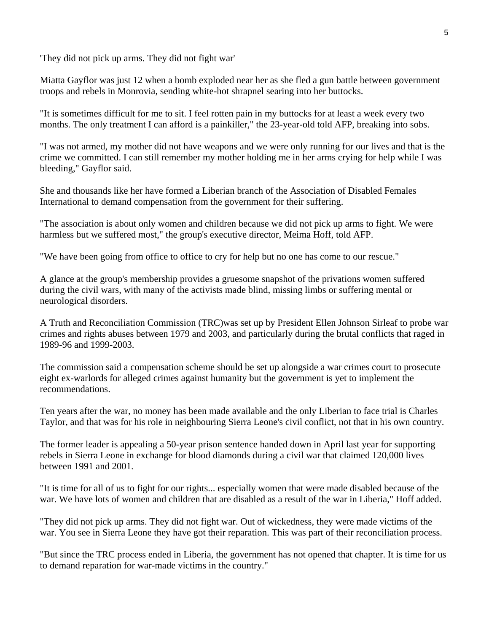'They did not pick up arms. They did not fight war'

Miatta Gayflor was just 12 when a bomb exploded near her as she fled a gun battle between government troops and rebels in Monrovia, sending white-hot shrapnel searing into her buttocks.

"It is sometimes difficult for me to sit. I feel rotten pain in my buttocks for at least a week every two months. The only treatment I can afford is a painkiller," the 23-year-old told AFP, breaking into sobs.

"I was not armed, my mother did not have weapons and we were only running for our lives and that is the crime we committed. I can still remember my mother holding me in her arms crying for help while I was bleeding," Gayflor said.

She and thousands like her have formed a Liberian branch of the Association of Disabled Females International to demand compensation from the government for their suffering.

"The association is about only women and children because we did not pick up arms to fight. We were harmless but we suffered most," the group's executive director, Meima Hoff, told AFP.

"We have been going from office to office to cry for help but no one has come to our rescue."

A glance at the group's membership provides a gruesome snapshot of the privations women suffered during the civil wars, with many of the activists made blind, missing limbs or suffering mental or neurological disorders.

A Truth and Reconciliation Commission (TRC)was set up by President Ellen Johnson Sirleaf to probe war crimes and rights abuses between 1979 and 2003, and particularly during the brutal conflicts that raged in 1989-96 and 1999-2003.

The commission said a compensation scheme should be set up alongside a war crimes court to prosecute eight ex-warlords for alleged crimes against humanity but the government is yet to implement the recommendations.

Ten years after the war, no money has been made available and the only Liberian to face trial is Charles Taylor, and that was for his role in neighbouring Sierra Leone's civil conflict, not that in his own country.

The former leader is appealing a 50-year prison sentence handed down in April last year for supporting rebels in Sierra Leone in exchange for blood diamonds during a civil war that claimed 120,000 lives between 1991 and 2001.

"It is time for all of us to fight for our rights... especially women that were made disabled because of the war. We have lots of women and children that are disabled as a result of the war in Liberia," Hoff added.

"They did not pick up arms. They did not fight war. Out of wickedness, they were made victims of the war. You see in Sierra Leone they have got their reparation. This was part of their reconciliation process.

"But since the TRC process ended in Liberia, the government has not opened that chapter. It is time for us to demand reparation for war-made victims in the country."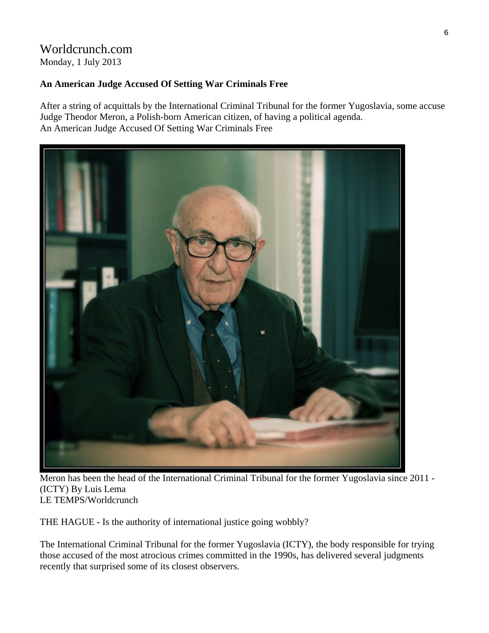#### Worldcrunch.com Monday, 1 July 2013

#### **An American Judge Accused Of Setting War Criminals Free**

After a string of acquittals by the International Criminal Tribunal for the former Yugoslavia, some accuse Judge Theodor Meron, a Polish-born American citizen, of having a political agenda. An American Judge Accused Of Setting War Criminals Free



Meron has been the head of the International Criminal Tribunal for the former Yugoslavia since 2011 - (ICTY) By Luis Lema LE TEMPS/Worldcrunch

THE HAGUE - Is the authority of international justice going wobbly?

The International Criminal Tribunal for the former Yugoslavia (ICTY), the body responsible for trying those accused of the most atrocious crimes committed in the 1990s, has delivered several judgments recently that surprised some of its closest observers.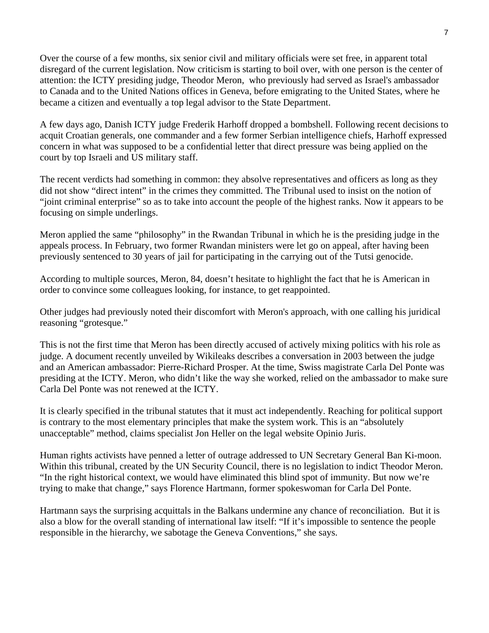Over the course of a few months, six senior civil and military officials were set free, in apparent total disregard of the current legislation. Now criticism is starting to boil over, with one person is the center of attention: the ICTY presiding judge, Theodor Meron, who previously had served as Israel's ambassador to Canada and to the United Nations offices in Geneva, before emigrating to the United States, where he became a citizen and eventually a top legal advisor to the State Department.

A few days ago, Danish ICTY judge Frederik Harhoff dropped a bombshell. Following recent decisions to acquit Croatian generals, one commander and a few former Serbian intelligence chiefs, Harhoff expressed concern in what was supposed to be a confidential letter that direct pressure was being applied on the court by top Israeli and US military staff.

The recent verdicts had something in common: they absolve representatives and officers as long as they did not show "direct intent" in the crimes they committed. The Tribunal used to insist on the notion of "joint criminal enterprise" so as to take into account the people of the highest ranks. Now it appears to be focusing on simple underlings.

Meron applied the same "philosophy" in the Rwandan Tribunal in which he is the presiding judge in the appeals process. In February, two former Rwandan ministers were let go on appeal, after having been previously sentenced to 30 years of jail for participating in the carrying out of the Tutsi genocide.

According to multiple sources, Meron, 84, doesn't hesitate to highlight the fact that he is American in order to convince some colleagues looking, for instance, to get reappointed.

Other judges had previously noted their discomfort with Meron's approach, with one calling his juridical reasoning "grotesque."

This is not the first time that Meron has been directly accused of actively mixing politics with his role as judge. A document recently unveiled by Wikileaks describes a conversation in 2003 between the judge and an American ambassador: Pierre-Richard Prosper. At the time, Swiss magistrate Carla Del Ponte was presiding at the ICTY. Meron, who didn't like the way she worked, relied on the ambassador to make sure Carla Del Ponte was not renewed at the ICTY.

It is clearly specified in the tribunal statutes that it must act independently. Reaching for political support is contrary to the most elementary principles that make the system work. This is an "absolutely unacceptable" method, claims specialist Jon Heller on the legal website Opinio Juris.

Human rights activists have penned a letter of outrage addressed to UN Secretary General Ban Ki-moon. Within this tribunal, created by the UN Security Council, there is no legislation to indict Theodor Meron. "In the right historical context, we would have eliminated this blind spot of immunity. But now we're trying to make that change," says Florence Hartmann, former spokeswoman for Carla Del Ponte.

Hartmann says the surprising acquittals in the Balkans undermine any chance of reconciliation. But it is also a blow for the overall standing of international law itself: "If it's impossible to sentence the people responsible in the hierarchy, we sabotage the Geneva Conventions," she says.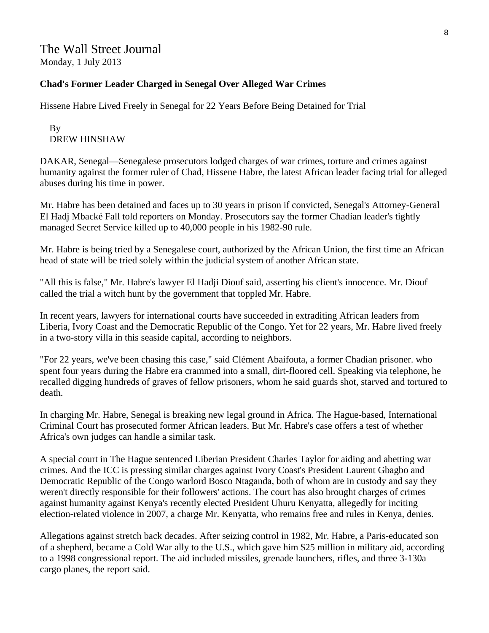## The Wall Street Journal Monday, 1 July 2013

#### **Chad's Former Leader Charged in Senegal Over Alleged War Crimes**

Hissene Habre Lived Freely in Senegal for 22 Years Before Being Detained for Trial

#### By DREW HINSHAW

DAKAR, Senegal—Senegalese prosecutors lodged charges of war crimes, torture and crimes against humanity against the former ruler of Chad, Hissene Habre, the latest African leader facing trial for alleged abuses during his time in power.

Mr. Habre has been detained and faces up to 30 years in prison if convicted, Senegal's Attorney-General El Hadj Mbacké Fall told reporters on Monday. Prosecutors say the former Chadian leader's tightly managed Secret Service killed up to 40,000 people in his 1982-90 rule.

Mr. Habre is being tried by a Senegalese court, authorized by the African Union, the first time an African head of state will be tried solely within the judicial system of another African state.

"All this is false," Mr. Habre's lawyer El Hadji Diouf said, asserting his client's innocence. Mr. Diouf called the trial a witch hunt by the government that toppled Mr. Habre.

In recent years, lawyers for international courts have succeeded in extraditing African leaders from Liberia, Ivory Coast and the Democratic Republic of the Congo. Yet for 22 years, Mr. Habre lived freely in a two-story villa in this seaside capital, according to neighbors.

"For 22 years, we've been chasing this case," said Clément Abaifouta, a former Chadian prisoner. who spent four years during the Habre era crammed into a small, dirt-floored cell. Speaking via telephone, he recalled digging hundreds of graves of fellow prisoners, whom he said guards shot, starved and tortured to death.

In charging Mr. Habre, Senegal is breaking new legal ground in Africa. The Hague-based, International Criminal Court has prosecuted former African leaders. But Mr. Habre's case offers a test of whether Africa's own judges can handle a similar task.

A special court in The Hague sentenced Liberian President Charles Taylor for aiding and abetting war crimes. And the ICC is pressing similar charges against Ivory Coast's President Laurent Gbagbo and Democratic Republic of the Congo warlord Bosco Ntaganda, both of whom are in custody and say they weren't directly responsible for their followers' actions. The court has also brought charges of crimes against humanity against Kenya's recently elected President Uhuru Kenyatta, allegedly for inciting election-related violence in 2007, a charge Mr. Kenyatta, who remains free and rules in Kenya, denies.

Allegations against stretch back decades. After seizing control in 1982, Mr. Habre, a Paris-educated son of a shepherd, became a Cold War ally to the U.S., which gave him \$25 million in military aid, according to a 1998 congressional report. The aid included missiles, grenade launchers, rifles, and three 3-130a cargo planes, the report said.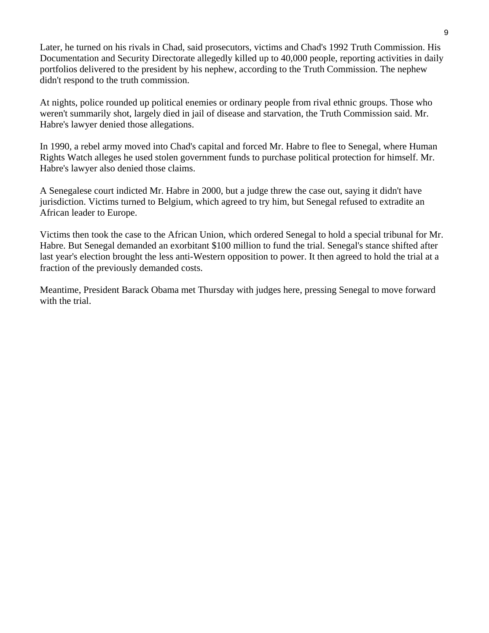Later, he turned on his rivals in Chad, said prosecutors, victims and Chad's 1992 Truth Commission. His Documentation and Security Directorate allegedly killed up to 40,000 people, reporting activities in daily portfolios delivered to the president by his nephew, according to the Truth Commission. The nephew didn't respond to the truth commission.

At nights, police rounded up political enemies or ordinary people from rival ethnic groups. Those who weren't summarily shot, largely died in jail of disease and starvation, the Truth Commission said. Mr. Habre's lawyer denied those allegations.

In 1990, a rebel army moved into Chad's capital and forced Mr. Habre to flee to Senegal, where Human Rights Watch alleges he used stolen government funds to purchase political protection for himself. Mr. Habre's lawyer also denied those claims.

A Senegalese court indicted Mr. Habre in 2000, but a judge threw the case out, saying it didn't have jurisdiction. Victims turned to Belgium, which agreed to try him, but Senegal refused to extradite an African leader to Europe.

Victims then took the case to the African Union, which ordered Senegal to hold a special tribunal for Mr. Habre. But Senegal demanded an exorbitant \$100 million to fund the trial. Senegal's stance shifted after last year's election brought the less anti-Western opposition to power. It then agreed to hold the trial at a fraction of the previously demanded costs.

Meantime, President Barack Obama met Thursday with judges here, pressing Senegal to move forward with the trial.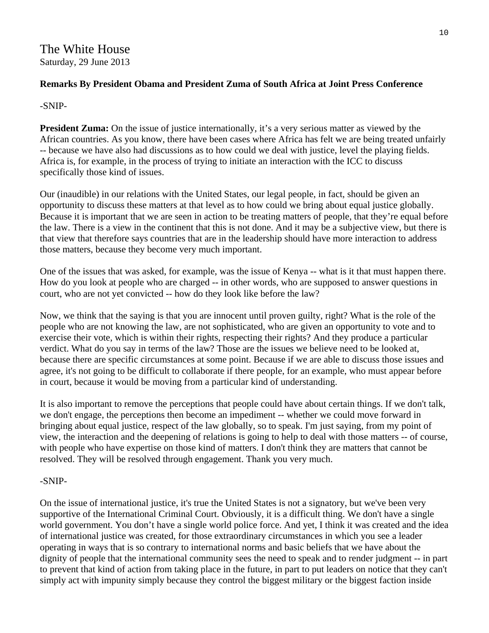#### **Remarks By President Obama and President Zuma of South Africa at Joint Press Conference**

#### -SNIP-

**President Zuma:** On the issue of justice internationally, it's a very serious matter as viewed by the African countries. As you know, there have been cases where Africa has felt we are being treated unfairly -- because we have also had discussions as to how could we deal with justice, level the playing fields. Africa is, for example, in the process of trying to initiate an interaction with the ICC to discuss specifically those kind of issues.

Our (inaudible) in our relations with the United States, our legal people, in fact, should be given an opportunity to discuss these matters at that level as to how could we bring about equal justice globally. Because it is important that we are seen in action to be treating matters of people, that they're equal before the law. There is a view in the continent that this is not done. And it may be a subjective view, but there is that view that therefore says countries that are in the leadership should have more interaction to address those matters, because they become very much important.

One of the issues that was asked, for example, was the issue of Kenya -- what is it that must happen there. How do you look at people who are charged -- in other words, who are supposed to answer questions in court, who are not yet convicted -- how do they look like before the law?

Now, we think that the saying is that you are innocent until proven guilty, right? What is the role of the people who are not knowing the law, are not sophisticated, who are given an opportunity to vote and to exercise their vote, which is within their rights, respecting their rights? And they produce a particular verdict. What do you say in terms of the law? Those are the issues we believe need to be looked at, because there are specific circumstances at some point. Because if we are able to discuss those issues and agree, it's not going to be difficult to collaborate if there people, for an example, who must appear before in court, because it would be moving from a particular kind of understanding.

It is also important to remove the perceptions that people could have about certain things. If we don't talk, we don't engage, the perceptions then become an impediment -- whether we could move forward in bringing about equal justice, respect of the law globally, so to speak. I'm just saying, from my point of view, the interaction and the deepening of relations is going to help to deal with those matters -- of course, with people who have expertise on those kind of matters. I don't think they are matters that cannot be resolved. They will be resolved through engagement. Thank you very much.

#### -SNIP-

On the issue of international justice, it's true the United States is not a signatory, but we've been very supportive of the International Criminal Court. Obviously, it is a difficult thing. We don't have a single world government. You don't have a single world police force. And yet, I think it was created and the idea of international justice was created, for those extraordinary circumstances in which you see a leader operating in ways that is so contrary to international norms and basic beliefs that we have about the dignity of people that the international community sees the need to speak and to render judgment -- in part to prevent that kind of action from taking place in the future, in part to put leaders on notice that they can't simply act with impunity simply because they control the biggest military or the biggest faction inside